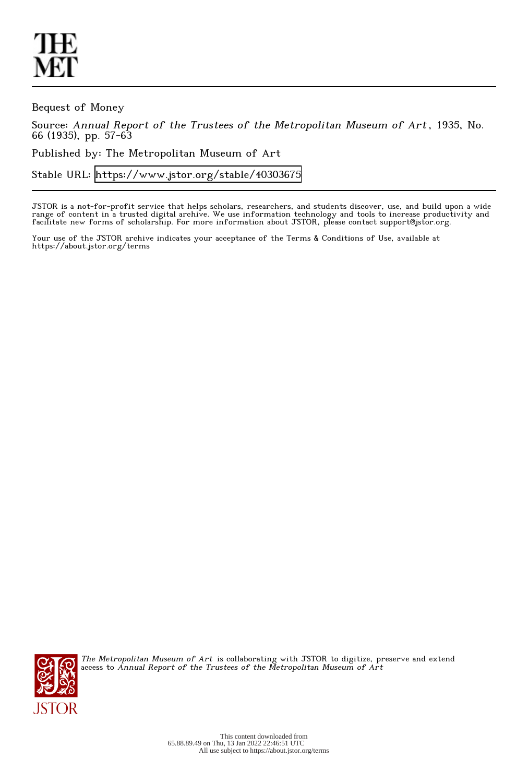Bequest of Money

Source: Annual Report of the Trustees of the Metropolitan Museum of Art , 1935, No. 66 (1935), pp. 57-63

Published by: The Metropolitan Museum of Art

Stable URL:<https://www.jstor.org/stable/40303675>

JSTOR is a not-for-profit service that helps scholars, researchers, and students discover, use, and build upon a wide range of content in a trusted digital archive. We use information technology and tools to increase productivity and facilitate new forms of scholarship. For more information about JSTOR, please contact support@jstor.org.

Your use of the JSTOR archive indicates your acceptance of the Terms & Conditions of Use, available at https://about.jstor.org/terms



The Metropolitan Museum of Art is collaborating with JSTOR to digitize, preserve and extend access to Annual Report of the Trustees of the Metropolitan Museum of Art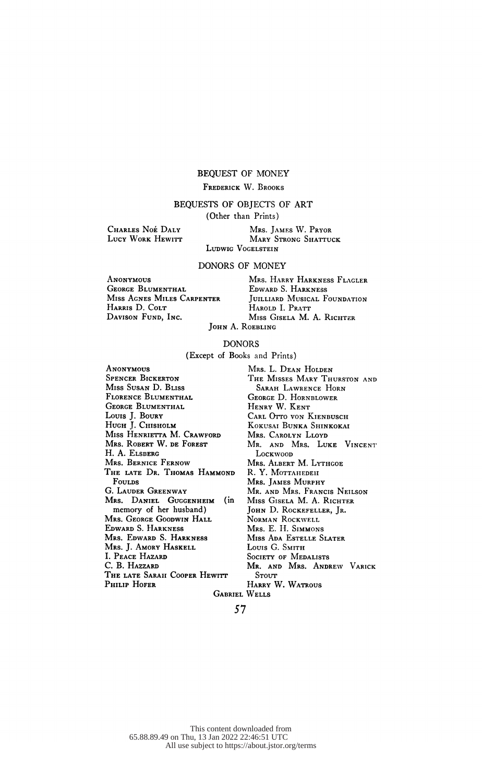### BEQUEST OF MONEY

## FREDERICK W. BROOKS

# BEQUESTS OF OBJECTS OF ART

(Other than Prints)

 Charles Noé Daly LUCY WORK HEWITT

 Mrs. James W. Pryor MARY STRONG SHATTUCK LUDWIG VOGELSTEIN

DONORS OF MONEY

 Anonymous GEORGE BLUMENTHAL Miss Agnes Miles Carpenter HARRIS D. COLT Davison Fund, Inc.

 Mrs. Harry Harkness Flagler Edward S. Harkness JUILLIARD MUSICAL FOUNDATION HAROLD I. PRATT Miss Gisela M. A. Richter John A. Roebling

#### DONORS

(Except of Books and Prints)

**ANONYMOUS**  Spencer Bickerton Miss Susan D. Bliss Florence Blumenthal GEORGE BLUMENTHAL Louis J. Boury Hugh J. Chisholm Miss Henrietta M. Crawford Mrs. Robert W. de Forest H. A. Elsberg Mrs. Bernice Fernow The late Dr. Thomas Hammond Fourns G. Lauder Greenway Mrs. Daniel Guggenheim (in memory of her husband) Mrs. George Goodwin Hall Edward S. Harkness Mrs. Edward S. Harkness Mrs. J. Amory Haskell I. Peace Hazard C. B. Hazzard The late Sarah Cooper Hewitt PHILIP HOFER

 Mrs. L. Dean Holden The Misses Mary Thurston and Sarah Lawrence Horn George D. Hornblower Henry W. Kent CARL OTTO VON KIENBUSCH KOKUSAI BUNKA ShINKOKAI Mrs. CAROLYN LLOYD Mr. AND Mrs. LUKE VINCENT Lockwoon Mrs. Albert M. Lythgoe R. Y. MOTTAHEDEH Mrs. JAMES MURPHY Mr. and Mrs. Francis Neilson Miss Gisela M. A. Richter JOHN D. ROCKEFELLER, JR. Norman Rockwell Mrs. E. H. Simmons Miss Ada Estelle Slater Louis G. SMITH SOCIETY OF MEDALISTS Mr. and Mrs. Andrew Varick **STOUT** HARRY W. WATROUS Gabriel Wells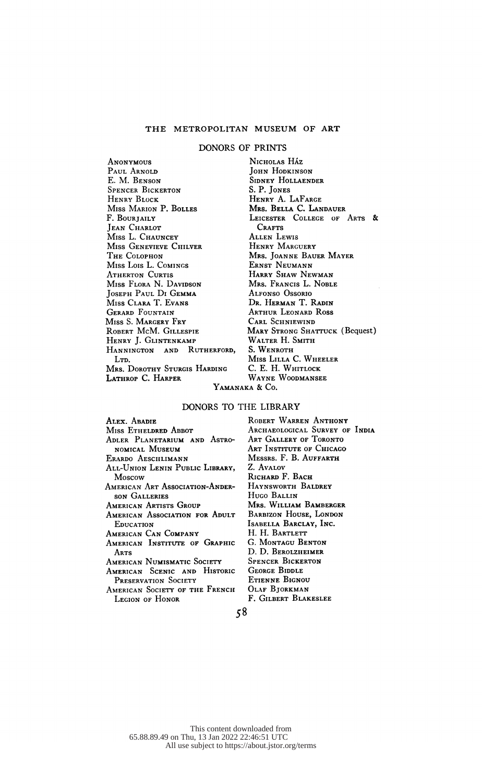## THE METROPOLITAN MUSEUM OF ART

#### DONORS OF PRINTS

**ANONYMOUS** PAUL ARNOLD E. M. Benson Spencer Bickerton Henry Block Miss Marion P. Bolles F. BOURTAILY JEAN CHARLOT Miss L. Chauncey Miss Genevieve Chilver The Colophon Miss Lois L. Comings **ATHERTON CURTIS**  Miss Flora N. Davidson Joseph Paul Di Gemma Miss Clara T. Evans Gerard Fountain Miss S. Margery Fry Robert McM. Gillespie Henry J. Glintenkamp Hannington and Rutherford, L<sub>TD</sub>. Mrs. DOROTHY STURGIS HARDING Lathrop C. Harper

NICHOLAS HÁZ **JOHN HODKINSON**  Sidney Hollaender S. P. Jones Henry A. LaFarge Mrs. Bella C. Landauer LEICESTER COLLEGE OF ARTS & CRAFTS Allen Lewis Henry Marguery Mrs. Joanne Bauer Mayer Ernst Neumann Harry Shaw Newman Mrs. Francis L. Noble Alfonso Ossorio Dr. Herman T. Radin Arthur Leonard Ross CARL SCHNIEWIND MARY STRONG SHATTUCK (Bequest) WALTER H. SMITH S. WENROTH Miss Lilla C. WHEELER C. E. H. Whitlock Wayne Woodmansee Yamanaka & Co.

### DONORS TO THE LIBRARY

 Alex. Abadie Miss Etheldred Abbot Adler Planetarium and Astro nomical Museum Erardo Aeschlimann All-Union Lenin Public Library, Moscow American Art Association-Ander son Galleries AMERICAN ARTISTS GROUP AMERICAN ASSOCIATION FOR ADULT **EDUCATION**  American Can Company AMERICAN INSTITUTE OF GRAPHIC **ARTS**  American Numismatic Society American Scenic and Historic PRESERVATION SOCIETY American Society of the French Legion of Honor

 Robert Warren Anthony ARCHAEOLOGICAL SURVEY OF INDIA Art Gallery of Toronto Art Institute of Chicago Messrs. F. B. Auffarth Z. Avalov RICHARD F. BACH Haynsworth Baldrey Hugo Ballin Mrs. William Bamberger Barbizon House, London Isabella Barclay, Inc. H. H. BARTLETT G. Montagu Benton D. D. Berolzheimer Spencer Bickerton **GEORGE BIDDLE**  Etienne Bignou Olaf Bjorkman F. Gilbert Blakeslee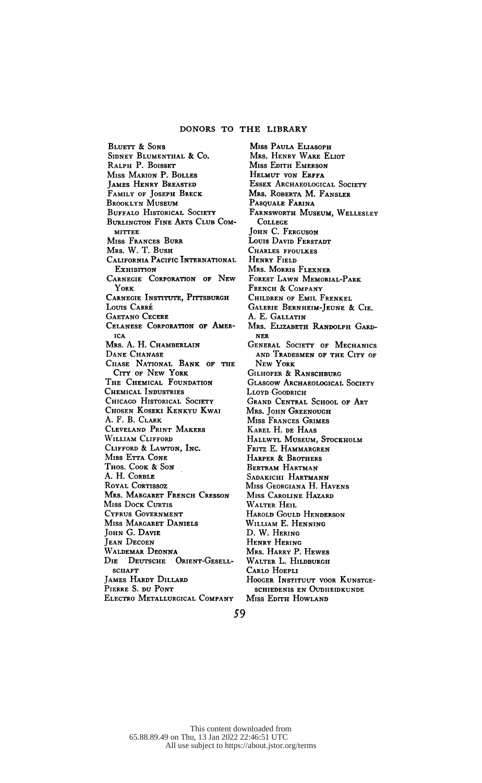Bluett & Sons Sidney Blumenthal & Co. RALPH P. BOISSET Miss Marion P. Bolles James Henry Breasted Family of Joseph Breck Brooklyn Museum BUFFALO HISTORICAL SOCIETY Burlington Fine Arts Club Com mittee Miss Frances Burr Mrs. W. T. Bush California Pacific International **Exhibition**  Carnegie Corporation of New York CARNEGIE INSTITUTE, PITTSBURGH Louis Carré Gaetano Cecere Celanese Corporation of Amer ica Mrs. A. H. Chamberlain DANE CHANASE Chase National Bank of the City of New York The Chemical Foundation Chemical Industries CHICAGO HISTORICAL SOCIETY Chosen Koseki Kenkyu Kwai A. F. B. Clark Cleveland Print Makers William Clifford Clifford & Lawton, Inc. Miss ETTA CONE Thos. Cook & Son A. H. Corble ROYAL CORTISSOZ Mrs. Margaret French Cresson Miss Dock Curtis Cyprus Government Miss Margaret Daniels John G. Davie Jean Decoen WALDEMAR DEONNA Die Deutsche Orient-Gesell sciiaft James Hardy Dillard Pierre S. du Pont Electro Metallurgical Company

 Miss Paula Eliasoph Mrs. Henry Ware Eliot Miss Edith Emerson HELMUT VON ERFFA ESSEX ARCHAEOLOGICAL SOCIETY Mrs. Roberta M. Fansler PASQUALE FARINA Farnsworth Museum, Wellesley College JOHN C. FERGUSON Louis David Ferstadt Charles ffoulkes HENRY FIELD Mrs. Morris Flexner Forest Lawn Memorial-Park French & Company Children of Emil Frenkel Galerie Bernheim-Jeune & Cie. A. E. Gallatin Mrs. Elizabeth Randolph Gard ner General Society of Mechanics and Tradesmen of the City of New York GILHOFER & RANSCHBURG GLASGOW ARCHAEOLOGICAL SOCIETY LLOYD GOODRICH Grand Central School of Art Mrs. JOHN GREENOUGH Miss Frances Grimes Karel H. de Haas Hallwyl Museum, Stockholm Fritz E. Hammargren HARPER & BROTHERS Bertram Hartman Sadakichi Hartmann Miss Georgiana H. Havens Miss Caroline Hazard Walter Heil Harold Gould Henderson William E. Henning D. W. Hering Henry Hering Mrs. Harry P. Hewes WALTER L. HILDBURGH Carlo Hoepli HOOGER INSTITUUT VOOR KUNSTGEschiedenis en Oudheidkunde Miss EDITH HOWLAND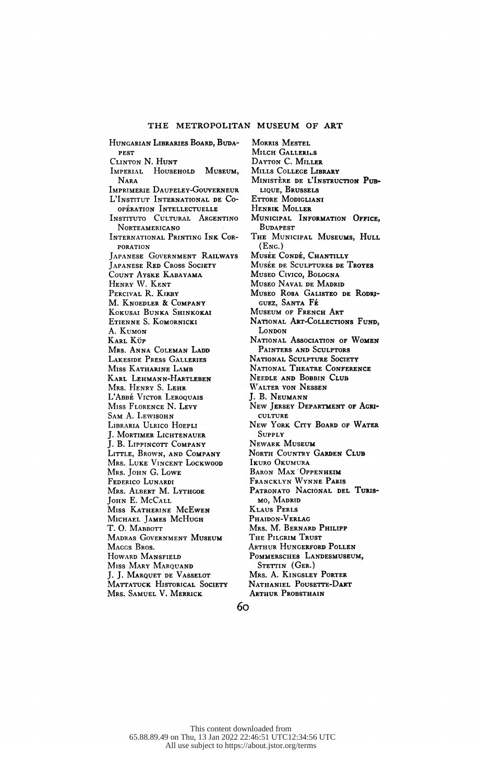Hungarian Libraries Board, Buda pest Clinton N. Hunt Imperial Household Museum, Nara Imprimerie Daupeley-Gouverneur L'Institut International de Co operation Intellectuelle INSTITUTO CULTURAL ARGENTINO **NORTEAMERICANO**  International Printing Ink Cor poration Japanese Government Railways Japanese Red Cross Society Count Ayske Kabayama Henry W. Kent PERCIVAL R. KIRBY M. Knoedler & Company KOKUSAI BUNKA ShINKOKAI Etienne S. Komornicki A. Kumon Karl Küp Mrs. Anna Coleman Ladd Lakeside Press Galleries Miss Katharine Lamb Karl Lehmann-Hartleben Mrs. Henry S. Lehr L'Abbé Victor Leroquais Miss Florence N. Levy Sam A. Lewisohn Libraría Ulrico Hoepli J. Mortimer Lichtenauer J. B. Lippincott Company Little, Brown, and Company Mrs. Luke Vincent Lockwood Mrs. JOHN G. LOWE Federico Lunardi Mrs. Albert M. Lythgoe JOHN E. McCALL Miss Katherine McEwen Michael James McHugh T. O. MABBOTT Madras Government Museum MAGGS BROS. Howard Mansfield Miss Mary Marquand J. J. Marquet de Vasselot MATTATUCK HISTORICAL SOCIETY Mrs. Samuel V. Merrick

 Morris Mestel MILCH GALLERILS Dayton C. Miller Mills College Library MINISTÈRE DE L'INSTRUCTION PUB lique, Brussels Ettore Modigliani Henrik Moller MUNICIPAL INFORMATION OFFICE, **BUDAPEST** THE MUNICIPAL MUSEUMS, HULL  $(Enc.)$ MUSÉE CONDÉ, CHANTILLY Musée de Sculptures de Troyes Museo Cívico, Bologna Museo Naval de Madrid Museo Rosa Galisteo de Rodrí guez, Santa Fe MUSEUM OF FRENCH ART NATIONAL ART-COLLECTIONS FUND. London NATIONAL ASSOCIATION OF WOMEN Painters and Sculptors National Sculpture Society National Theatre Conference Needle and Bobbin Club Walter von Nessen J. B. Neumann New Jersey Department of Agri culture New York City Board of Water Supply Newark Museum NORTH COUNTRY GARDEN CLUB Ikuro Okumura BARON MAX OPPENHEIM Francklyn Wynne Paris PATRONATO NACIONAL DEL TURIS mo, Madrid Klaus Perls PHAIDON-VERLAG Mrs. M. Bernard Philipp The Pilgrim Trust Arthur Hungerford Pollen POMMERSCHES LaNDESMUSEUM, STETTIN (GER.) Mrs. A. Kingsley Porter Nathaniel Pousette-Dart ARTHUR PROBSTHAIN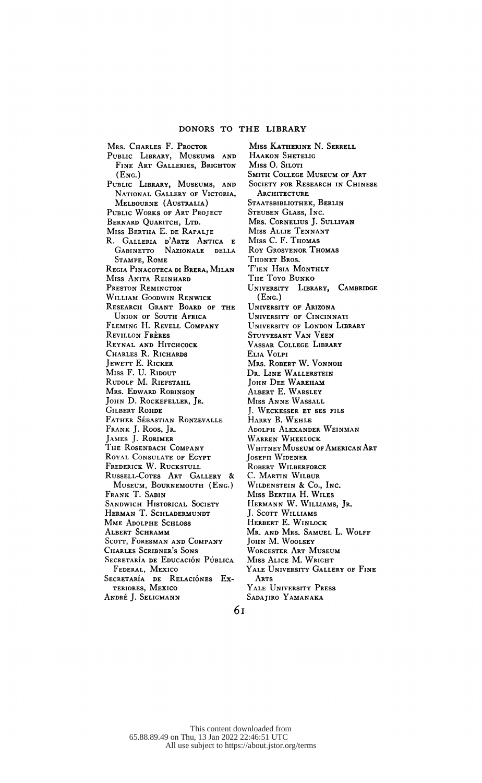Mrs. Charles F. Proctor

 Public Library, Museums and FINE ART GALLERIES, BRIGHTON  $(F_{NC.})$  Public Library, Museums, and NATIONAL GALLERY OF VICTORIA, Melbourne (Australia) PUBLIC WORKS OF ART PROJECT BERNARD QUARITCH, LTD. Miss Bertha E. de Rapalje R. Gallería d'Arte Antica e Gabinetto Nazionale della Stampe, Rome Regia Pinacoteca di Brera, Milan Miss Anita Reinhard Preston Remington William Goodwin Renwick RESEARCH GRANT BOARD OF THE Union of South Africa Fleming H. Revell Company Revillon Fréres Reynal and Hitchcock Charles R. Richards Jewett E. Ricker Miss F. U. Ridout RUDOLF M. RIEFSTAHL Mrs. Edward Robinson JOHN D. ROCKEFELLER, JR. Gilbert Rohde FATHER SÉBASTIAN RONZEVALLE Frank J. Roos, Jr. James J. Rorimer The Rosenbach Company Royal Consulate of Egypt Frederick W. Ruckstull Russell-Cotes Art Gallery & Museum, Bournemouth (Eng.) Frank T. Sabin SANDWICH HISTORICAL SOCIETY HERMAN T. SCHLADERMUNDT Mme Adolphe Schloss Albert Schramm Scott, Foresman and Company Charles Scribner's Sons SECRETARÍA DE EDUCACIÓN PÚBLICA Federal, Mexico SECRETARÍA DE RELACIÓNES Exteriores, Mexico

André J. Seligmann

 Miss Katherine N. Serrell Haakon Shetelig Miss O. Siloti Smith College Museum of Art SOCIETY FOR RESEARCH IN CHINESE ARCHITECTURE STAATSBIBLIOTHEK, BERLIN Steuben Glass, Inc. Mrs. Cornelius J. Sullivan Miss Allie Tennant Miss C. F. Thomas Roy Grosvenor Thomas Thonet Bros. Tien Hsia Monthly The Toyo Bunko University Library, Cambridge  $(Enc.)$  University of Arizona University of Cincinnati University of London Library Stuyvesant Van Veen Vassar College Library Elia Volpi Mrs. ROBERT W. VONNOH Dr. Line Wallerstein John Dee Wareham Albert E. Warsley Miss Anne Wassall J. Weckesser et ses fils Harry B. Wehle Adolph Alexander Weinman Warren Wheelock Whitney Museum of American Art Joseph Widener Robert Wilberforce C. MARTIN WILBUR WlLDENSTEIN & Co., INC. Miss Bertha H. Wiles Hermann W. Williams, Jr. J. Scott Williams HERBERT E. WINLOCK Mr. and Mrs. Samuel L. Wolff John M. Woolsey Worcester Art Museum Miss ALICE M. WRIGHT Yale University Gallery of Fine Arts

 Yale University Press Sadajiro Yamanaka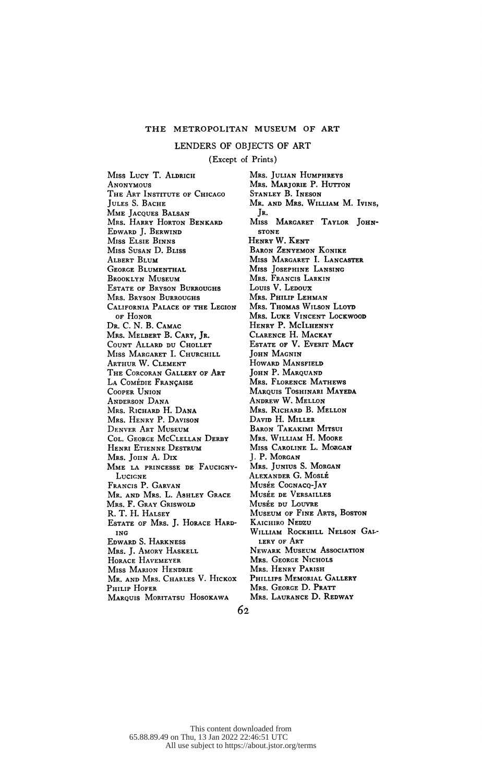LENDERS OF OBJECTS OF ART

(Except of Prints)

Miss Lucy T. ALDRICH **ANONYMOUS**  The Art Institute of Chicago Jules S. Bache Mme Jacques Balsan Mrs. Harry Horton Benkard Edward J. Berwind Miss Elsie Binns Miss Susan D. Bliss Albert Blum GEORGE BLUMENTHAL Brooklyn Museum Estate of Bryson Burroughs Mrs. Bryson Burroughs California Palace of the Legion of Honor Dr. C. N. B. Camac Mrs. Melbert B. Cary, Jr. Count Allard du Chollet MISS MARGARET I. CHURCHILL Arthur W. Clement The Corcoran Gallery of Art LA COMÉDIE FRANÇAISE Cooper Union Anderson Dana Mrs. Richard H. Dana Mrs. Henry P. Davison Denver Art Museum Col. George McClellan Derby Henri Etienne Destrum Mrs. JOHN A. DIX MME LA PRINCESSE DE FAUCIGNY-**LUCIGNE**  Francis P. Garvan Mr. and Mrs. L. Ashley Grace Mrs. F. Gray Griswold R. T. H. Halsey Estate of Mrs. J. Horace Hard ing Edward S. Harkness Mrs. J. Amory Haskell Horace Havemeyer Miss Marion Hendrie Mr. and Mrs. Charles V. Hickox PHILIP HOFER

MARQUIS MORITATSU HOSOKAWA

 Mrs. Julian Humphreys Mrs. MARJORIE P. HUTTON Stanley B. Ineson Mr. and Mrs. William M. Ivins, Jr. Miss Margaret Taylor John stone Henry W. Kent Baron Zenyemon Konike Miss Margaret I. Lancaster Miss Josephine Lansing Mrs. Francis Larkin Louis V. Ledoux Mrs. Philip Lehman Mrs. Thomas Wilson Lloyd Mrs. Luke Vincent Lockwood HENRY P. MCILHENNY Clarence H. Mackay Estate of V. Everit Macy John Magnin Howard Mansfield JOHN P. MARQUAND Mrs. Florence Mathews Marquis Toshinari Mayeda Andrew W. Mellon Mrs. Richard B. Mellon David H. Miller Baron Takakimi Mitsui Mrs. William H. Moore Miss CAROLINE L. MORGAN J. P. Morgan Mrs. Junius S. Morgan Alexander G. Moslé Musée Cognacq-Jay Musée de Versailles Musée du Louvre Museum of Fine Arts, Boston Kaichiro Nedzu William Rockhill Nelson Gal lery of Art Newark Museum Association Mrs. GEORGE NICHOLS Mrs. Henry Parish Phillips Memorial Gallery Mrs. George D. Pratt Mrs. Laurance D. Redway